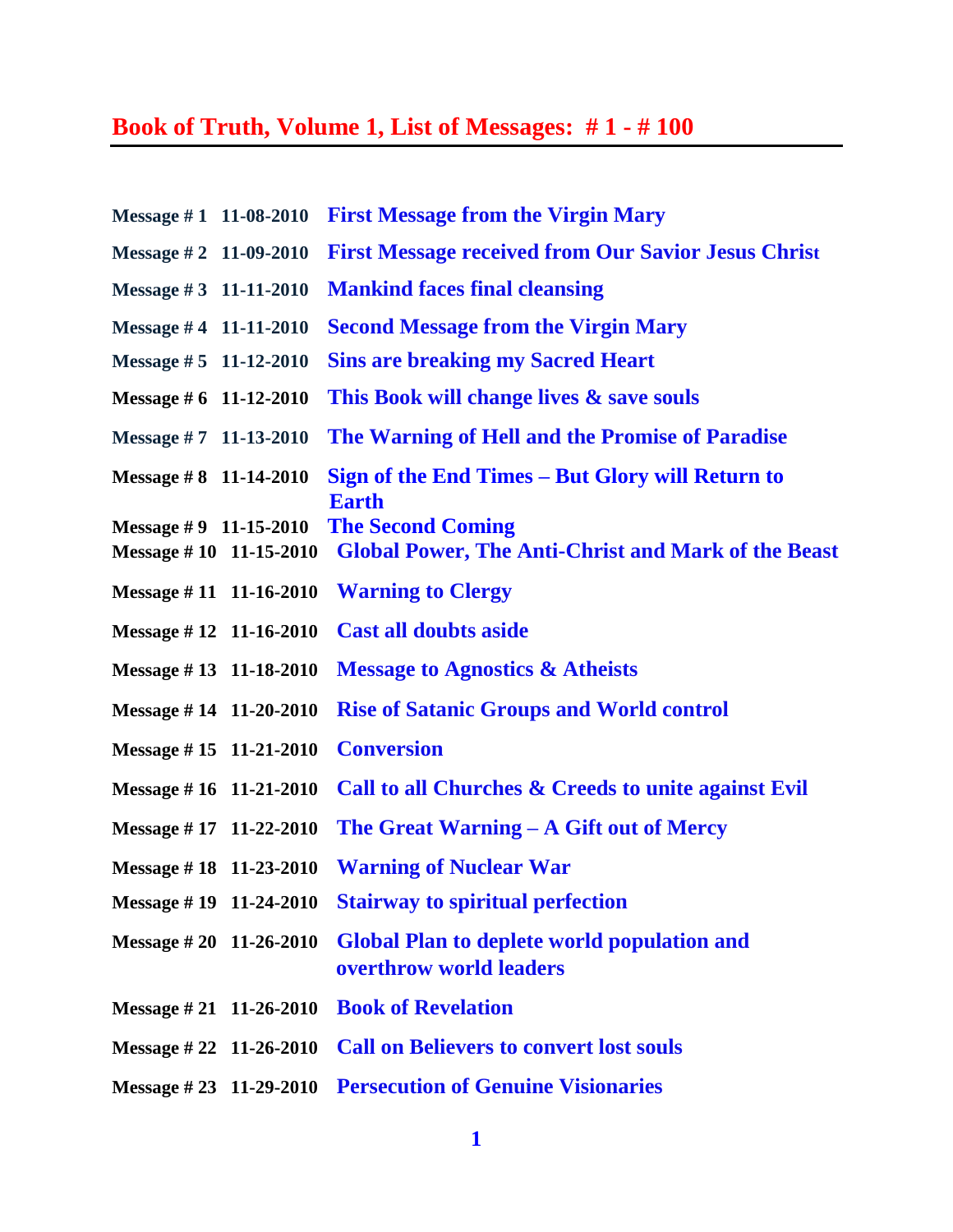## **Book of Truth, Volume 1, List of Messages: # 1 - # 100**

| Message $#1$ 11-08-2010                               | <b>First Message from the Virgin Mary</b>                                              |
|-------------------------------------------------------|----------------------------------------------------------------------------------------|
| Message #2 11-09-2010                                 | <b>First Message received from Our Savior Jesus Christ</b>                             |
| Message #3 $11-11-2010$                               | <b>Mankind faces final cleansing</b>                                                   |
| Message #4 11-11-2010                                 | <b>Second Message from the Virgin Mary</b>                                             |
| Message #5 11-12-2010                                 | <b>Sins are breaking my Sacred Heart</b>                                               |
| Message #6 $11-12-2010$                               | This Book will change lives & save souls                                               |
| Message #7 11-13-2010                                 | The Warning of Hell and the Promise of Paradise                                        |
| Message #8 $11-14-2010$                               | Sign of the End Times – But Glory will Return to<br><b>Earth</b>                       |
| Message $#9$ 11-15-2010<br>Message $\# 10$ 11-15-2010 | <b>The Second Coming</b><br><b>Global Power, The Anti-Christ and Mark of the Beast</b> |
| Message $# 11$ 11-16-2010                             | <b>Warning to Clergy</b>                                                               |
| Message $#12$ 11-16-2010                              | <b>Cast all doubts aside</b>                                                           |
| Message #13 11-18-2010                                | <b>Message to Agnostics &amp; Atheists</b>                                             |
| Message #14 11-20-2010                                | <b>Rise of Satanic Groups and World control</b>                                        |
| Message #15 11-21-2010                                | <b>Conversion</b>                                                                      |
| Message #16 $11-21-2010$                              | Call to all Churches & Creeds to unite against Evil                                    |
| Message #17 11-22-2010                                | The Great Warning $- A$ Gift out of Mercy                                              |
|                                                       | Message #18 11-23-2010 Warning of Nuclear War                                          |
|                                                       | Message #19 11-24-2010 Stairway to spiritual perfection                                |
| Message # 20 11-26-2010                               | <b>Global Plan to deplete world population and</b><br>overthrow world leaders          |
| Message $\# 21$ 11-26-2010                            | <b>Book of Revelation</b>                                                              |
| Message $\# 22$ 11-26-2010                            | <b>Call on Believers to convert lost souls</b>                                         |
| Message $\# 23$ 11-29-2010                            | <b>Persecution of Genuine Visionaries</b>                                              |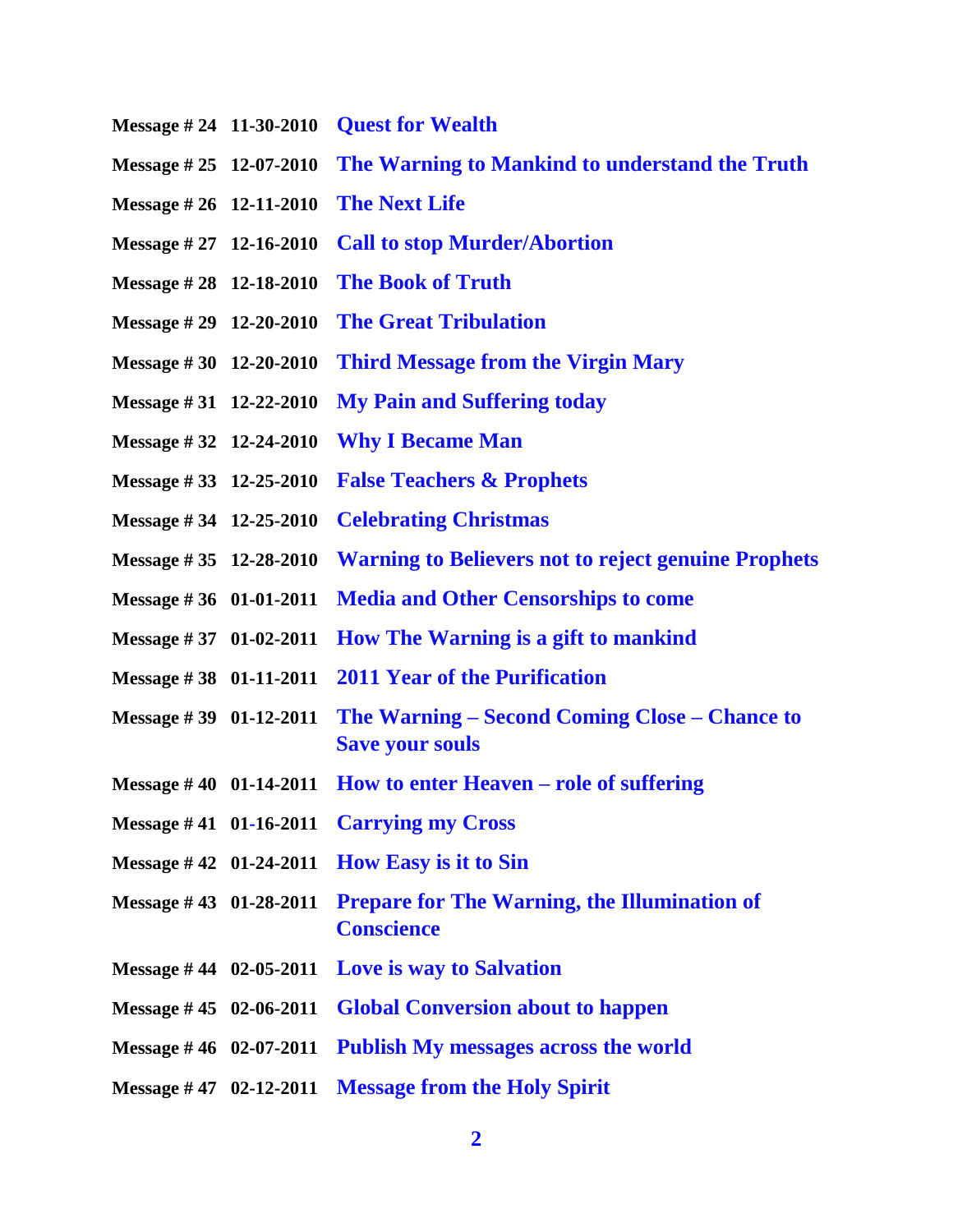- **Message # 24 11-30-2010 [Quest for Wealth](http://www.thewarningsecondcoming.com/quest-for-wealth/)**
- **Message # 25 12-07-2010 [The Warning to Mankind to understand the Truth](http://www.thewarningsecondcoming.com/the-warning-to-mankind/)**
- **Message # 26 12-11-2010 [The Next Life](http://www.thewarningsecondcoming.com/the-next-life/)**
- **Message # 27 12-16-2010 [Call to stop Murder/Abortion](http://www.thewarningsecondcoming.com/call-to-stop-murderabortion/)**
- **Message # 28 12-18-2010 [The Book of Truth](http://www.thewarningsecondcoming.com/the-book-of-truth/)**
- **Message # 29 12-20-2010 [The Great Tribulation](http://www.thewarningsecondcoming.com/the-great-tribulation/)**
- **Message # 30 12-20-2010 [Third Message from the Virgin Mary](http://www.thewarningsecondcoming.com/third-message-from-the-virgin-mary/)**
- **Message # 31 12-22-2010 [My Pain and Suffering today](http://www.thewarningsecondcoming.com/my-pain-and-suffering-today/)**
- **Message # 32 12-24-2010 [Why I Became Man](http://www.thewarningsecondcoming.com/why-i-became-man/)**
- **Message # 33 12-25-2010 [False Teachers & Prophets](http://www.thewarningsecondcoming.com/false-teachers-prophets/)**
- **Message # 34 12-25-2010 [Celebrating Christmas](http://www.thewarningsecondcoming.com/celebrating-christmas/)**
- **Message # 35 12-28-2010 [Warning to Believers not to reject genuine Prophets](http://www.thewarningsecondcoming.com/warning-to-believers-not-to-reject-genuine-prophets/)**
- **Message # 36 01-01-2011 [Media and Other Censorships to come](http://www.thewarningsecondcoming.com/media-and-other-censorships-to-come/)**
- **Message # 37 01-02-2011 [How The Warning is a gift to mankind](http://www.thewarningsecondcoming.com/how-the-warning-is-a-gift-to-mankind/)**
- **Message # 38 01-11-2011 [2011 Year of the Purification](http://www.thewarningsecondcoming.com/2011-year-of-the-purification/)**
- **Message # 39 01-12-2011 The Warning – [Second Coming Close –](http://www.thewarningsecondcoming.com/the-warning-second-coming-close-chance-to-save-your-souls/) Chance to [Save your souls](http://www.thewarningsecondcoming.com/the-warning-second-coming-close-chance-to-save-your-souls/)**
- **Message # 40 01-14-2011 [How to enter Heaven –](http://www.thewarningsecondcoming.com/how-to-enter-heaven-role-of-suffering/) role of suffering**
- **Message # 41 01-16-2011 [Carrying my Cross](http://www.thewarningsecondcoming.com/carrying-my-cross-how-to-live-your-lives/)**
- **Message # 42 01-24-2011 [How Easy is it to Sin](http://www.thewarningsecondcoming.com/how-easy-is-it-to-sin/)**
- **Message # 43 01-28-2011 Prepare for The [Warning, the Illumination of](http://www.thewarningsecondcoming.com/prepare-for-the-warning-the-illumination-of-conscience/)  [Conscience](http://www.thewarningsecondcoming.com/prepare-for-the-warning-the-illumination-of-conscience/)**
- **Message # 44 02-05-2011 [Love is way to Salvation](http://www.thewarningsecondcoming.com/love-is-way-to-salvation/)**
- **Message # 45 02-06-2011 [Global Conversion about to happen](http://www.thewarningsecondcoming.com/global-conversion-about-to-happen/)**
- **Message # 46 02-07-2011 [Publish My messages across the world](http://www.thewarningsecondcoming.com/publish-my-messages-across-the-world/)**
- **Message # 47 02-12-2011 [Message from the Holy Spirit](http://www.thewarningsecondcoming.com/message-from-the-holy-spirit/)**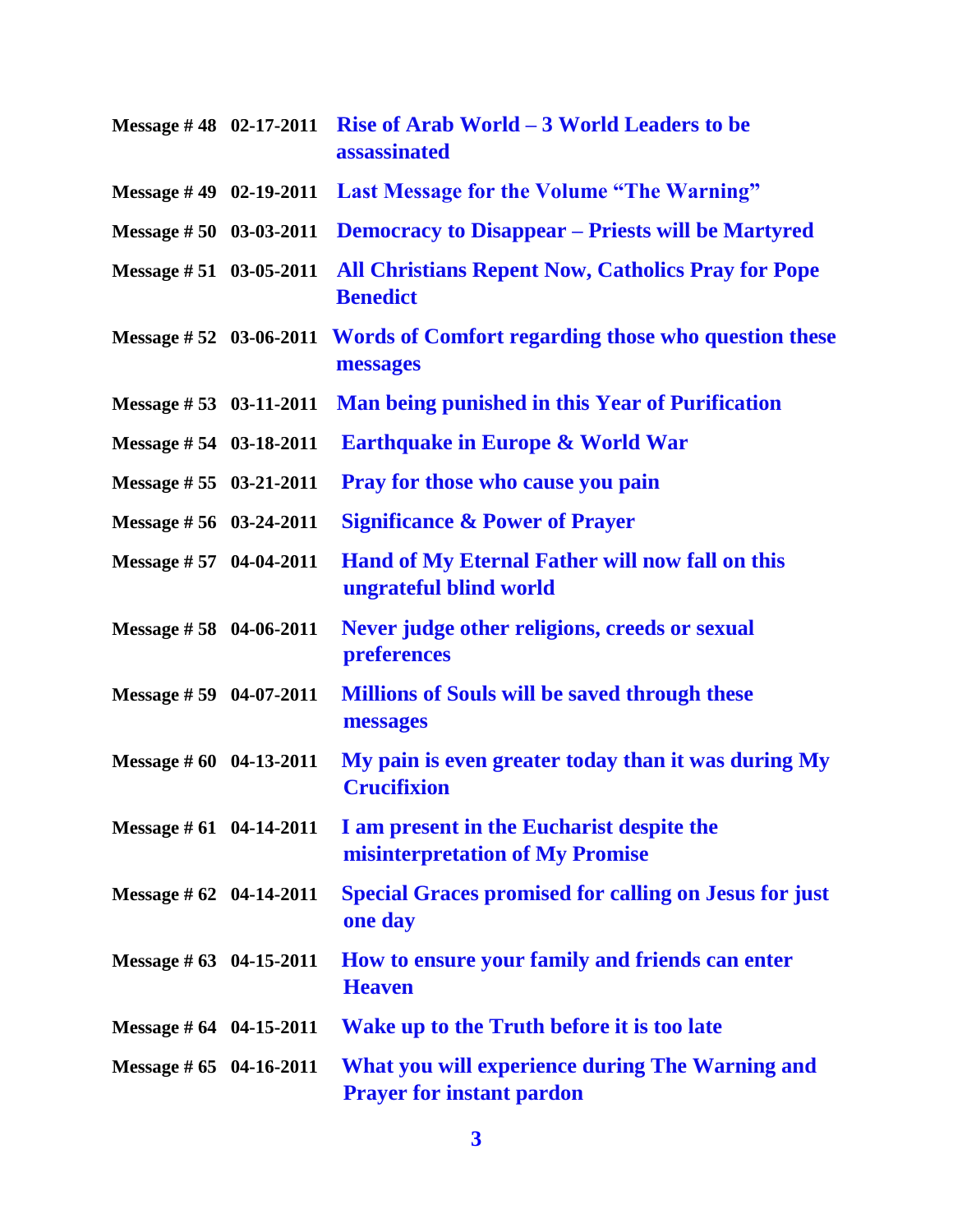|                                 | Message #48 $02-17-2011$ Rise of Arab World $-3$ World Leaders to be<br>assassinated   |
|---------------------------------|----------------------------------------------------------------------------------------|
|                                 | Message #49 02-19-2011 Last Message for the Volume "The Warning"                       |
| Message #50 03-03-2011          | <b>Democracy to Disappear – Priests will be Martyred</b>                               |
| Message $# 51$ 03-05-2011       | <b>All Christians Repent Now, Catholics Pray for Pope</b><br><b>Benedict</b>           |
|                                 | Message #52 03-06-2011 Words of Comfort regarding those who question these<br>messages |
| Message $\# 53$ 03-11-2011      | <b>Man being punished in this Year of Purification</b>                                 |
| Message #54 03-18-2011          | <b>Earthquake in Europe &amp; World War</b>                                            |
| Message $# 55 \quad 03-21-2011$ | <b>Pray for those who cause you pain</b>                                               |
| Message $# 56$ 03-24-2011       | <b>Significance &amp; Power of Prayer</b>                                              |
| Message #57 04-04-2011          | Hand of My Eternal Father will now fall on this<br>ungrateful blind world              |
| Message #58 04-06-2011          | Never judge other religions, creeds or sexual<br>preferences                           |
| Message #59 04-07-2011          | <b>Millions of Souls will be saved through these</b><br>messages                       |
| Message $\# 60$ 04-13-2011      | My pain is even greater today than it was during My<br><b>Crucifixion</b>              |
| Message $\#$ 61 04-14-2011      | I am present in the Eucharist despite the<br>misinterpretation of My Promise           |
| Message # $62$ 04-14-2011       | <b>Special Graces promised for calling on Jesus for just</b><br>one day                |
| Message # $63$ 04-15-2011       | How to ensure your family and friends can enter<br><b>Heaven</b>                       |
| Message # $64$ 04-15-2011       | Wake up to the Truth before it is too late                                             |
| Message $\#$ 65 04-16-2011      | What you will experience during The Warning and<br><b>Prayer for instant pardon</b>    |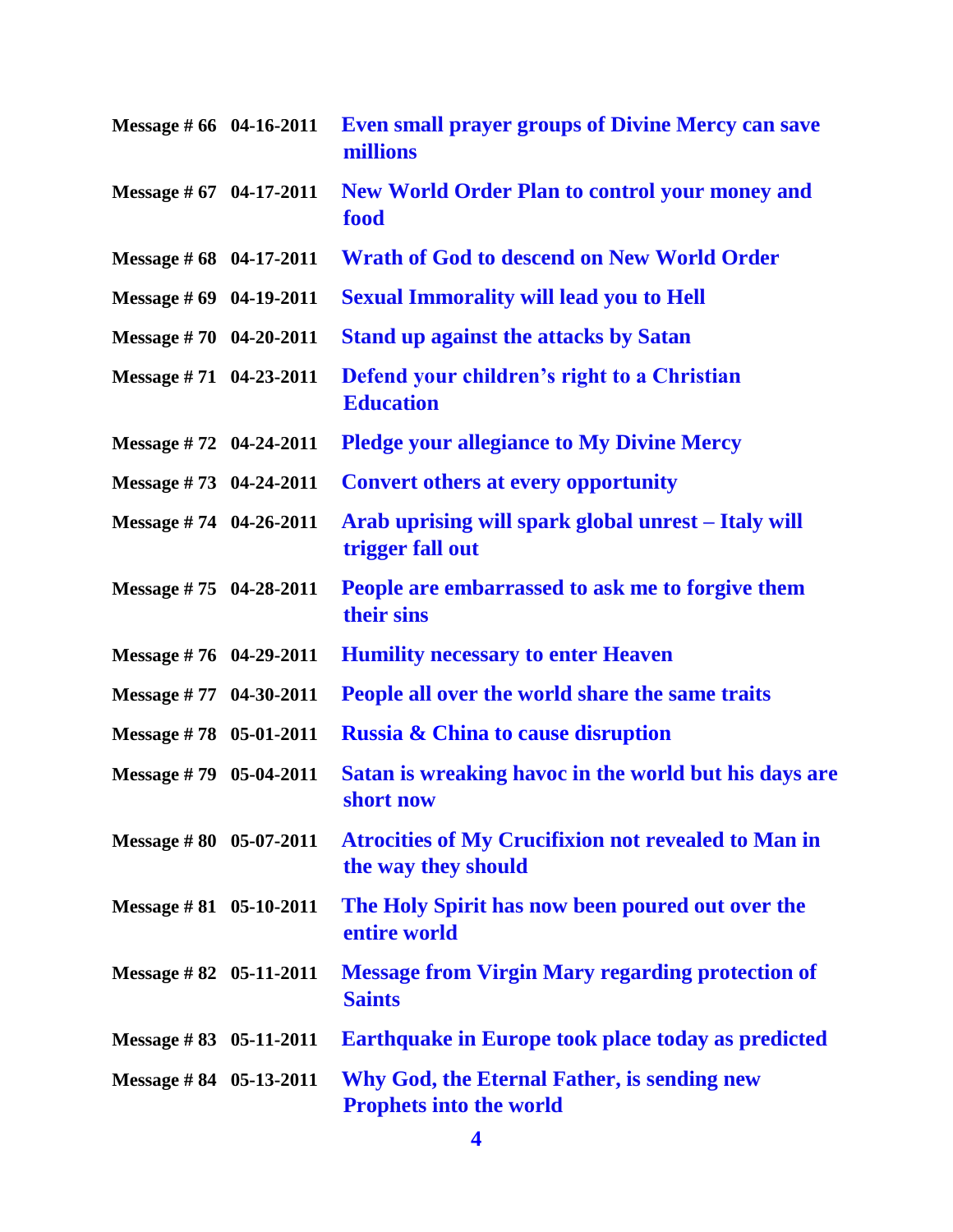|                                  | Message #66 04-16-2011 Even small prayer groups of Divine Mercy can save<br>millions |
|----------------------------------|--------------------------------------------------------------------------------------|
| Message $\#$ 67 04-17-2011       | <b>New World Order Plan to control your money and</b><br>food                        |
| Message $\# 68$ 04-17-2011       | <b>Wrath of God to descend on New World Order</b>                                    |
| Message # 69 04-19-2011          | <b>Sexual Immorality will lead you to Hell</b>                                       |
| Message #70 04-20-2011           | <b>Stand up against the attacks by Satan</b>                                         |
| Message $#71$ 04-23-2011         | Defend your children's right to a Christian<br><b>Education</b>                      |
| Message $#72$ 04-24-2011         | <b>Pledge your allegiance to My Divine Mercy</b>                                     |
| Message #73 04-24-2011           | <b>Convert others at every opportunity</b>                                           |
| Message #74 04-26-2011           | Arab uprising will spark global unrest – Italy will<br>trigger fall out              |
| Message #75 04-28-2011           | People are embarrassed to ask me to forgive them<br>their sins                       |
| Message $#76$ 04-29-2011         | <b>Humility necessary to enter Heaven</b>                                            |
| Message #77 04-30-2011           | People all over the world share the same traits                                      |
| Message #78 05-01-2011           | <b>Russia &amp; China to cause disruption</b>                                        |
| Message $#79$ 05-04-2011         | Satan is wreaking havoc in the world but his days are<br>short now                   |
| Message $\# 80$ 05-07-2011       | <b>Atrocities of My Crucifixion not revealed to Man in</b><br>the way they should    |
| Message $\# 81$ 05-10-2011       | The Holy Spirit has now been poured out over the<br>entire world                     |
| Message # $82$ 05-11-2011        | <b>Message from Virgin Mary regarding protection of</b><br><b>Saints</b>             |
| Message $\# 83 \quad 05-11-2011$ | <b>Earthquake in Europe took place today as predicted</b>                            |
| Message $\# 84$ 05-13-2011       | Why God, the Eternal Father, is sending new<br><b>Prophets into the world</b>        |

**4**